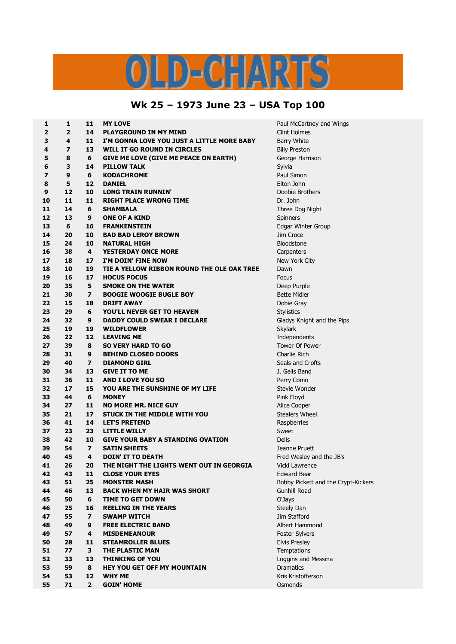## S  $C = N^2$  $\mathbf{D}$

## **Wk 25 – 1973 June 23 – USA Top 100**

| 1              | 1              | 11                           | <b>MY LOVE</b>                                  | Paul McCartney a                      |
|----------------|----------------|------------------------------|-------------------------------------------------|---------------------------------------|
| $\overline{2}$ | $\overline{2}$ | 14                           | <b>PLAYGROUND IN MY MIND</b>                    | <b>Clint Holmes</b>                   |
| 3              | 4              | 11                           | I'M GONNA LOVE YOU JUST A LITTLE MORE BABY      | <b>Barry White</b>                    |
| 4              | 7              | 13                           | <b>WILL IT GO ROUND IN CIRCLES</b>              | <b>Billy Preston</b>                  |
| 5              | 8              | 6                            | <b>GIVE ME LOVE (GIVE ME PEACE ON EARTH)</b>    | George Harrison                       |
| 6              | 3              | 14                           | <b>PILLOW TALK</b>                              | Sylvia                                |
| 7              | 9              | 6                            | <b>KODACHROME</b>                               | Paul Simon                            |
| 8              | 5              | 12                           | <b>DANIEL</b>                                   | Elton John                            |
| 9              | 12             | 10                           | <b>LONG TRAIN RUNNIN'</b>                       | Doobie Brothers                       |
| 10             | 11             | 11                           | <b>RIGHT PLACE WRONG TIME</b>                   | Dr. John                              |
| 11             | 14             | 6                            | <b>SHAMBALA</b>                                 | Three Dog Night                       |
| 12             | 13             | 9                            | <b>ONE OF A KIND</b>                            | Spinners                              |
| 13             | 6              | 16                           | <b>FRANKENSTEIN</b>                             | Edgar Winter Gro                      |
| 14             | 20             | 10                           | <b>BAD BAD LEROY BROWN</b>                      | Jim Croce                             |
| 15             | 24             | 10                           | <b>NATURAL HIGH</b>                             | <b>Bloodstone</b>                     |
| 16             | 38             | 4                            | <b>YESTERDAY ONCE MORE</b>                      | Carpenters                            |
| 17             | 18             | 17                           | I'M DOIN' FINE NOW                              | New York City                         |
| 18             | 10             | 19                           | TIE A YELLOW RIBBON ROUND THE OLE OAK TREE      | Dawn                                  |
| 19             | 16             | 17                           | <b>HOCUS POCUS</b>                              | Focus                                 |
| 20             | 35             | 5                            | <b>SMOKE ON THE WATER</b>                       | Deep Purple                           |
| 21             | 30             | $\overline{\mathbf{z}}$      | <b>BOOGIE WOOGIE BUGLE BOY</b>                  | <b>Bette Midler</b>                   |
| 22             | 15             | 18                           | <b>DRIFT AWAY</b>                               | Dobie Gray                            |
| 23             | 29             | 6                            | <b>YOU'LL NEVER GET TO HEAVEN</b>               | <b>Stylistics</b>                     |
| 24             | 32             | 9                            | <b>DADDY COULD SWEAR I DECLARE</b>              | Gladys Knight an                      |
| 25             | 19             | 19                           | <b>WILDFLOWER</b>                               | <b>Skylark</b>                        |
| 26             | 22             | 12                           | <b>LEAVING ME</b>                               | Independents                          |
| 27             | 39             | 8                            | <b>SO VERY HARD TO GO</b>                       | Tower Of Power                        |
| 28             | 31             | 9                            | <b>BEHIND CLOSED DOORS</b>                      | <b>Charlie Rich</b>                   |
| 29             | 40             | $\overline{ }$               | <b>DIAMOND GIRL</b>                             | Seals and Crofts                      |
| 30             | 34             | 13                           | <b>GIVE IT TO ME</b>                            | J. Geils Band                         |
| 31             | 36             | 11                           | <b>AND I LOVE YOU SO</b>                        | Perry Como                            |
| 32             | 17             | 15                           | YOU ARE THE SUNSHINE OF MY LIFE                 | Stevie Wonder                         |
| 33             | 44             | 6                            | <b>MONEY</b>                                    | Pink Floyd                            |
| 34             | 27             | 11                           | <b>NO MORE MR. NICE GUY</b>                     |                                       |
| 35             | 21             | 17                           | STUCK IN THE MIDDLE WITH YOU                    | Alice Cooper<br><b>Stealers Wheel</b> |
|                | 41             | 14                           | <b>LET'S PRETEND</b>                            |                                       |
| 36<br>37       | 23             |                              |                                                 | Raspberries                           |
|                | 42             | 23                           | <b>LITTLE WILLY</b>                             | Sweet                                 |
| 38             |                | 10                           | <b>GIVE YOUR BABY A STANDING OVATION</b>        | <b>Dells</b>                          |
| 39             | 54<br>45       | $\overline{\mathbf{z}}$<br>4 | <b>SATIN SHEETS</b><br><b>DOIN' IT TO DEATH</b> | Jeanne Pruett                         |
| 40             |                |                              |                                                 | Fred Wesley and                       |
| 41             | 26             | 20                           | THE NIGHT THE LIGHTS WENT OUT IN GEORGIA        | Vicki Lawrence                        |
| 42             | 43             | 11                           | <b>CLOSE YOUR EYES</b>                          | Edward Bear                           |
| 43             | 51             | 25                           | <b>MONSTER MASH</b>                             | Bobby Pickett an                      |
| 44             | 46             | 13                           | <b>BACK WHEN MY HAIR WAS SHORT</b>              | Gunhill Road                          |
| 45             | 50             | 6                            | <b>TIME TO GET DOWN</b>                         | O'Jays                                |
| 46             | 25             | 16                           | <b>REELING IN THE YEARS</b>                     | Steely Dan                            |
| 47             | 55             | 7                            | <b>SWAMP WITCH</b>                              | Jim Stafford                          |
| 48             | 49             | 9                            | <b>FREE ELECTRIC BAND</b>                       | Albert Hammond                        |
| 49             | 57             | 4                            | <b>MISDEMEANOUR</b>                             | <b>Foster Sylvers</b>                 |
| 50             | 28             | 11                           | <b>STEAMROLLER BLUES</b>                        | <b>Elvis Presley</b>                  |
| 51             | 77             | 3                            | THE PLASTIC MAN                                 | Temptations                           |
| 52             | 33             | 13                           | <b>THINKING OF YOU</b>                          | Loggins and Mes                       |
| 53             | 59             | 8                            | <b>HEY YOU GET OFF MY MOUNTAIN</b>              | <b>Dramatics</b>                      |
| 54             | 53             | 12                           | <b>WHY ME</b>                                   | Kris Kristofferson                    |
| 55             | 71             | $\overline{2}$               | <b>GOIN' HOME</b>                               | Osmonds                               |

 **1 11 MY LOVE** Paul McCartney and Wings *inter Group*  **32 9 DADDY COULD SWEAR I DECLARE** Gladys Knight and the Pips **45 4 DOIN' IT TO DEATH** Fred Wesley and the JB's **51 25 MONSTER MASH** Bobby Pickett and the Crypt-Kickers **33 13 THINKING OF YOU** Loggins and Messina